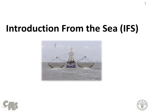# **Introduction From the Sea (IFS)**







1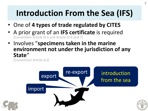# **Introduction From the Sea (IFS)**

- One of **4 types of trade regulated by CITES**
- A prior grant of an **IFS certificate** is required [Convention Article III 5 and Article IV 6 and 7]
- Involves "**specimens taken in the marine environment not under the jurisdiction of any State**"

[Convention Article I(c)]

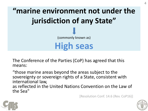**"marine environment not under the jurisdiction of any State"** (commonly known as) **High seas**

The Conference of the Parties (CoP) has agreed that this means:

"those marine areas beyond the areas subject to the sovereignty or sovereign rights of a State, consistent with international law, as reflected in the United Nations Convention on the Law of the Sea"

[Resolution Conf. 14.6 (Rev. CoP16)]



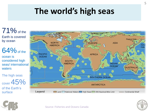# **The world's high seas**



 $64\%$  of the

ocean is considered high seas/ international waters

The high seas  $\frac{1}{\text{cover}}$  45% of the Earth's surface



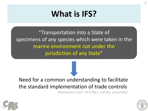## **What is IFS?**

"Transportation into a State of specimens of any species which were taken in the marine environment not under the jurisdiction of any State"

#### Need for a common understanding to facilitate the standard implementation of trade controls

[Resolution Conf. 14.6 (Rev. CoP16), preamble]





7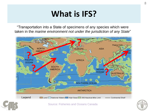## **What is IFS?**

"Transportation into a State of specimens of any species which were taken in the *marine environment not under the jurisdiction of any State*"



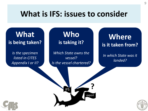## **What is IFS: issues to consider**

**What is being taken?**

*Is the specimen listed in CITES Appendix I or II?*

**Who is taking it?**

*Which State owns the vessel? Is the vessel chartered?*

**Where is it taken from?**

*In which State was it landed?*



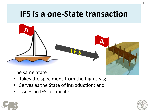## **IFS is a one-State transaction**



The same State

- Takes the specimens from the high seas;
- Serves as the State of introduction; and
- Issues an IFS certificate.



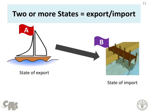## **Two or more States = export/import**



State of import



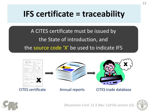## **IFS certificate = traceability**

A CITES certificate must be issued by the State of introduction, and the source code 'X' be used to indicate IFS





CITES certificate Annual reports CITES trade database

X



[Resolution Conf. 12.3 (Rev. CoP16) section I(i)]

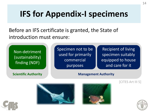## **IFS for Appendix-I specimens**

Before an IFS certificate is granted, the State of introduction must ensure:

Non-detriment (sustainability) finding (NDF)

Specimen not to be used for primarily commercial purposes

Recipient of living specimen suitably equipped to house and care for it

#### **Scientific Authority Management Authority**







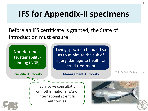# **IFS for Appendix-II specimens**

Before an IFS certificate is granted, the State of introduction must ensure:

Non-detriment (sustainability) finding (NDF)

**Scientific Authority**

Living specimen handled so as to minimize the risk of injury, damage to health or cruel treatment

#### **Management Authority**

[CITES Art IV 6 and 7]

may involve consultation with other national SAs or international scientific authorities

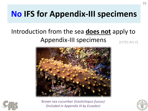## **No IFS for Appendix-III specimens**

#### Introduction from the sea **does not** apply to Appendix-III specimens [CITES Art V]





Brown sea cucumber *(Isostichopus fuscus) (Included in Appendix III by Ecuador)*

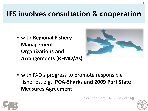## **IFS involves consultation & cooperation**

 with **Regional Fishery Management Organizations and Arrangements (RFMO/As)**



■ with FAO's progress to promote responsible fisheries, e.g. **IPOA-Sharks and 2009 Port State Measures Agreement**

[Resolution Conf. 14.6 (Rev. CoP16)]





18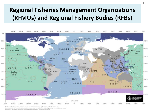### **Regional Fisheries Management Organizations (RFMOs) and Regional Fishery Bodies (RFBs)**



Disclaimers: Dot designations amplayed and the presentation of a sterial in the mapps are for illustration univ and do not leady the expression of any opinion whatsoever on the part of FAO concerning the legal or constitutional status of

any country, tareltary or you area, or compensing the delimitation of frontiers or boundaries.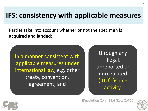## **IFS: consistency with applicable measures**

Parties take into account whether or not the specimen is **acquired and landed**:

In a manner consistent with applicable measures under international law, e.g. other treaty, convention, agreement; and

through any illegal, unreported or unregulated (IUU) fishing activity.

[Resolution Conf. 14.6 (Rev. CoP16)]



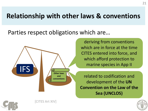## **Relationship with other laws & conventions**

Parties respect obligations which are…



deriving from conventions which are in force at the time CITES entered into force, and which afford protection to marine species in App II

related to codification and development of the **UN Convention on the Law of the Sea (UNCLOS)**



[CITES Art XIV]

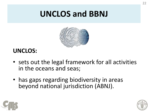## **UNCLOS and BBNJ**



### **UNCLOS:**

- sets out the legal framework for all activities in the oceans and seas;
- has gaps regarding biodiversity in areas beyond national jurisdiction (ABNJ).



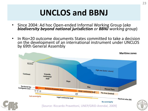## **UNCLOS and BBNJ**

- Since 2004: Ad hoc Open-ended Informal Working Group (*aka biodiversity beyond national jurisdiction or BBNJ working group*)
- In Rio+20 outcome documents States committed to take a decision on the development of an international instrument under UNCLOS by 69th General Assembly

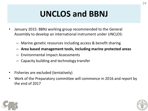# **UNCLOS and BBNJ**

- January 2015: BBNJ working group recommended to the General Assembly to develop an international instrument under UNCLOS:
	- Marine genetic resources including access & benefit sharing
	- **Area based management tools, including marine protected areas**
	- Environmental Impact Assessments
	- Capacity building and technology transfer
- Fisheries are excluded (tentatively)
- Work of the Preparatory committee will commence in 2016 and report by the end of 2017



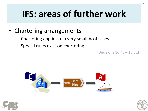# **IFS: areas of further work**

- Chartering arrangements
	- Chartering applies to a very small % of cases
	- Special rules exist on chartering

[Decisions 16.48 – 16.51]





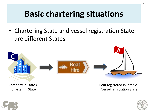## **Basic chartering situations**

• Chartering State and vessel registration State are different States



Company in State C = Chartering State

Boat registered in State A = Vessel registration State



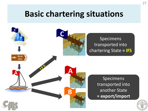## **Basic chartering situations**

|                     | Specimens<br>transported into<br>chartering State = IFS |
|---------------------|---------------------------------------------------------|
| <b>Boat</b><br>Hire | Specimens<br>transported into<br>another State          |
|                     | = export/import                                         |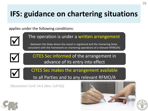## **IFS: guidance on chartering situations**

applies under the following conditions:



 $\blacktriangledown$ 

 $\blacktriangledown$ 

#### The operation is under a written arrangement

(between the State where the vessel is registered and the chartering State, consistent with the framework on chartering operations of a relevant RFMO/A)



CITES Sec makes the arrangement available to all Parties and to any relevant RFMO/A

[Resolution Conf. 14.6 (Rev. CoP16)]



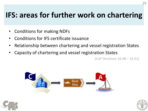## **IFS: areas for further work on chartering**

- Conditions for making NDFs
- Conditions for IFS certificate issuance
- Relationship between chartering and vessel registration States
- Capacity of chartering and vessel registration States

[CoP Decisions 16.48 – 16.51]





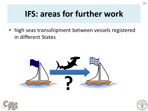## **IFS: areas for further work**

• high seas transshipment between vessels registered in different States





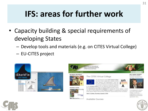## **IFS: areas for further work**

- Capacity building & special requirements of developing States
	- Develop tools and materials (e.g. on CITES Virtual College)
	- EU-CITES project